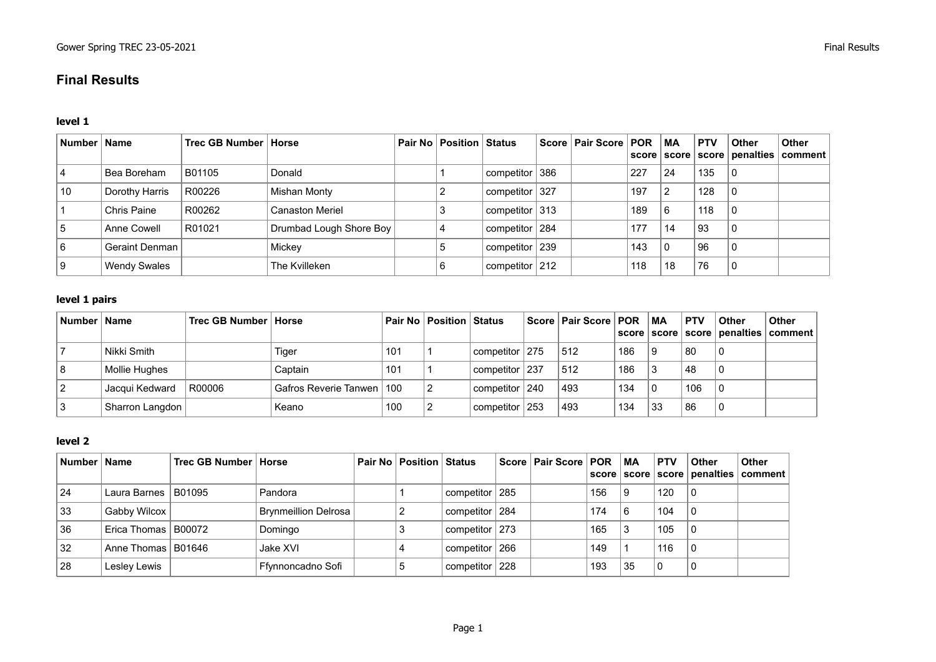# **Final Results**

#### **level 1**

| Number   Name |                     | Trec GB Number   Horse |                         | <b>Pair No   Position   Status</b> |                   | Score   Pair Score   POR |     | МA           | <b>PTV</b> | <b>Other</b>   | <b>Other</b><br>score   score   score   penalties   comment |
|---------------|---------------------|------------------------|-------------------------|------------------------------------|-------------------|--------------------------|-----|--------------|------------|----------------|-------------------------------------------------------------|
|               | Bea Boreham         | B01105                 | Donald                  |                                    | competitor 386    |                          | 227 | 24           | 135        | $\overline{0}$ |                                                             |
| 10            | Dorothy Harris      | R00226                 | Mishan Monty            |                                    | competitor 327    |                          | 197 | 2            | 128        | $\overline{0}$ |                                                             |
|               | Chris Paine         | R00262                 | <b>Canaston Meriel</b>  |                                    | competitor $ 313$ |                          | 189 | 6            | 118        | l 0            |                                                             |
|               | Anne Cowell         | R01021                 | Drumbad Lough Shore Boy |                                    | competitor   284  |                          | 177 | 14           | 93         | - (            |                                                             |
| 6             | Geraint Denman      |                        | Mickey                  |                                    | competitor 239    |                          | 143 | $\mathbf{0}$ | 96         | - (            |                                                             |
|               | <b>Wendy Swales</b> |                        | The Kvilleken           |                                    | competitor $212$  |                          | 118 | 18           | 76         | -0             |                                                             |

## **level 1 pairs**

| Number   Name   | Trec GB Number   Horse |                             |     | <b>Pair No   Position   Status</b> |                    | Score   Pair Score   POR |     | ∣ MA | <b>PTV</b> | Other | <b>Other</b><br>score   score   score   penalties   comment |
|-----------------|------------------------|-----------------------------|-----|------------------------------------|--------------------|--------------------------|-----|------|------------|-------|-------------------------------------------------------------|
| Nikki Smith     |                        | Tiger                       | 101 |                                    | competitor   275   | 512                      | 186 | 9    | 80         |       |                                                             |
| Mollie Hughes   |                        | Captain                     | 101 |                                    | competitor   237   | 512                      | 186 |      | 48         |       |                                                             |
| Jacqui Kedward  | R00006                 | Gafros Reverie Tanwen   100 |     |                                    | competitor   240   | 493                      | 134 |      | 106        |       |                                                             |
| Sharron Langdon |                        | Keano                       | 100 |                                    | competitor $ 253 $ | 493                      | 134 | 33   | 86         |       |                                                             |

## **level 2**

| Number   Name |                       | Trec GB Number   Horse |                             | <b>Pair No Position Status</b> |                  | Score   Pair Score   POR   MA |     |    | <b>PTV</b> | <b>Other</b> | <b>Other</b><br>score   score   score   penalties   comment |
|---------------|-----------------------|------------------------|-----------------------------|--------------------------------|------------------|-------------------------------|-----|----|------------|--------------|-------------------------------------------------------------|
| 24            | Laura Barnes   B01095 |                        | Pandora                     |                                | competitor   285 |                               | 156 |    | 120        |              |                                                             |
| 33            | Gabby Wilcox          |                        | <b>Brynmeillion Delrosa</b> |                                | competitor   284 |                               | 174 | 6  | 104        |              |                                                             |
| 36            | Erica Thomas   B00072 |                        | Domingo                     |                                | competitor 273   |                               | 165 |    | 105        |              |                                                             |
| 32            | Anne Thomas   B01646  |                        | Jake XVI                    |                                | competitor   266 |                               | 149 |    | 116        |              |                                                             |
| 28            | Lesley Lewis          |                        | Ffynnoncadno Sofi           | đ                              | competitor   228 |                               | 193 | 35 | 0          |              |                                                             |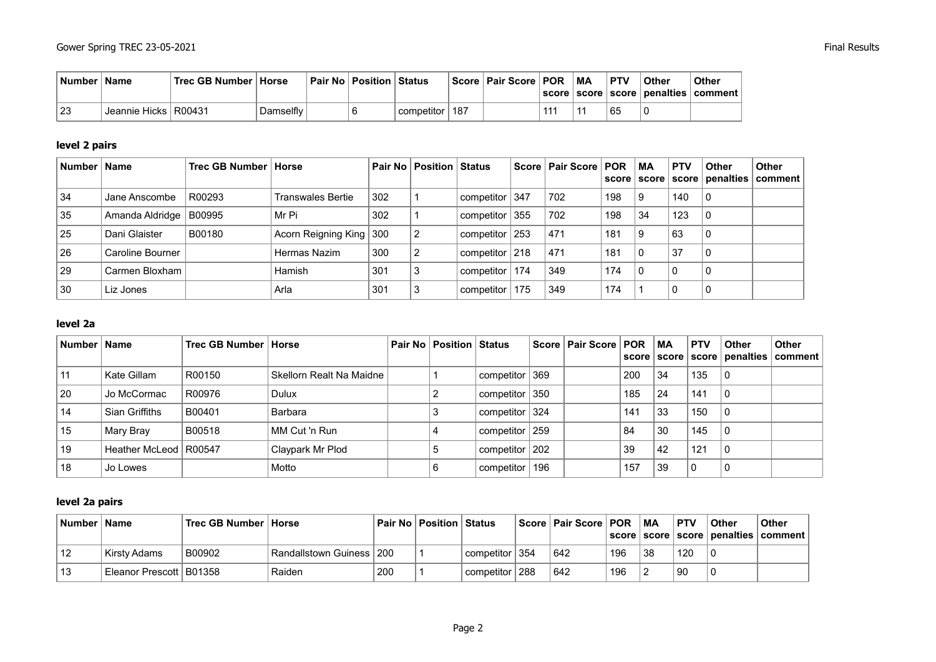| <b>Number</b> | <b>Name</b>            | Trec GB Number   Horse |           | Pair No   Position   Status |                    | Score   Pair Score   POR |     | <b>MA</b> | <b>PTV</b> | <b>Other</b> | <b>Other</b><br>  score   score   score   penalties   comment |
|---------------|------------------------|------------------------|-----------|-----------------------------|--------------------|--------------------------|-----|-----------|------------|--------------|---------------------------------------------------------------|
| 23            | Jeannie Hicks   R00431 |                        | Damselfly |                             | l competitor ∣ 187 |                          | 111 |           | 65         | 0            |                                                               |

# **level 2 pairs**

| Number Name |                  | Trec GB Number   Horse |                           |     | <b>Pair No   Position   Status</b> |                    | Score   Pair Score   POR |     | МA | <b>PTV</b> | <b>Other</b> | <b>Other</b><br>score   score   score   penalties   comment |
|-------------|------------------|------------------------|---------------------------|-----|------------------------------------|--------------------|--------------------------|-----|----|------------|--------------|-------------------------------------------------------------|
| 34          | Jane Anscombe    | R00293                 | Transwales Bertie         | 302 |                                    | competitor 347     | 702                      | 198 |    | 140        | C            |                                                             |
| 35          | Amanda Aldridge  | B00995                 | Mr Pi                     | 302 |                                    | competitor $355$   | 702                      | 198 | 34 | 123        | C            |                                                             |
| 25          | Dani Glaister    | B00180                 | Acorn Reigning King   300 |     | 2                                  | competitor $ 253 $ | 471                      | 181 |    | 63         |              |                                                             |
| 26          | Caroline Bourner |                        | Hermas Nazim              | 300 | 2                                  | competitor   218   | 471                      | 181 |    | 37         |              |                                                             |
| 29          | Carmen Bloxham   |                        | Hamish                    | 301 | 3                                  | competitor   174   | 349                      | 174 |    | 0          |              |                                                             |
| 30          | Liz Jones        |                        | Arla                      | 301 | ົ                                  | competitor   175   | 349                      | 174 |    | 0          |              |                                                             |

## **level 2a**

| Number   Name |                         | Trec GB Number   Horse |                          | <b>Pair No   Position   Status</b> |                  | Score   Pair Score   POR   MA |     |    | <b>PTV</b> | Other | <b>Other</b> |
|---------------|-------------------------|------------------------|--------------------------|------------------------------------|------------------|-------------------------------|-----|----|------------|-------|--------------|
| 11            | Kate Gillam             | R00150                 | Skellorn Realt Na Maidne |                                    | competitor   369 |                               | 200 | 34 | 135        | 0     |              |
| 20            | Jo McCormac             | R00976                 | <b>Dulux</b>             |                                    | competitor 350   |                               | 185 | 24 | 141        | 0     |              |
| 14            | Sian Griffiths          | B00401                 | Barbara                  |                                    | competitor   324 |                               | 141 | 33 | 150        | 0     |              |
| 15            | Mary Bray               | B00518                 | MM Cut 'n Run            |                                    | competitor   259 |                               | 84  | 30 | 145        | -0    |              |
| 19            | Heather McLeod   R00547 |                        | Claypark Mr Plod         |                                    | competitor   202 |                               | 39  | 42 | 121        | 0     |              |
| 18            | Jo Lowes                |                        | Motto                    |                                    | competitor   196 |                               | 157 | 39 | 0          | 0     |              |

#### **level 2a pairs**

| <b>Number</b> | <b>Name</b>               | Trec GB Number   Horse |                            |     | Pair No   Position   Status |                      | <sup>∣</sup> Score ∣ Pair Score ∣ POR |     | <b>MA</b> | ∣ PTV | <b>Other</b> | Other<br>score   score   score   penalties   comment |
|---------------|---------------------------|------------------------|----------------------------|-----|-----------------------------|----------------------|---------------------------------------|-----|-----------|-------|--------------|------------------------------------------------------|
| 12            | Kirsty Adams              | B00902                 | Randallstown Guiness   200 |     |                             | ' competitor ∣ 354   | 642                                   | 196 | 38        | 120   |              |                                                      |
| 13            | Eleanor Prescott   B01358 |                        | Raiden                     | 200 |                             | ' competitor ∣ 288 ∶ | 642                                   | 196 |           | ∣90   |              |                                                      |